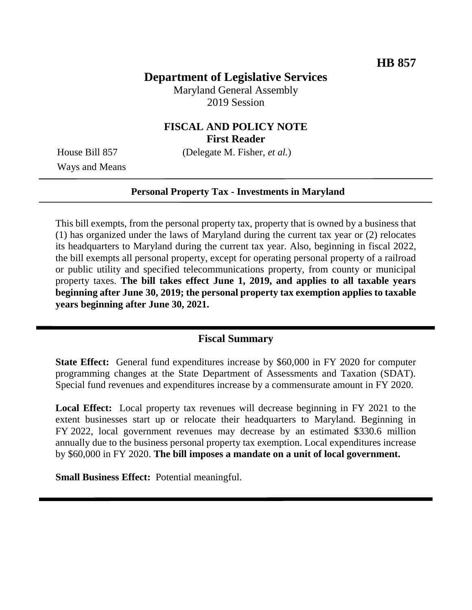# **Department of Legislative Services**

Maryland General Assembly 2019 Session

## **FISCAL AND POLICY NOTE First Reader**

House Bill 857 (Delegate M. Fisher, *et al.*)

Ways and Means

#### **Personal Property Tax - Investments in Maryland**

This bill exempts, from the personal property tax, property that is owned by a business that (1) has organized under the laws of Maryland during the current tax year or (2) relocates its headquarters to Maryland during the current tax year. Also, beginning in fiscal 2022, the bill exempts all personal property, except for operating personal property of a railroad or public utility and specified telecommunications property, from county or municipal property taxes. **The bill takes effect June 1, 2019, and applies to all taxable years beginning after June 30, 2019; the personal property tax exemption applies to taxable years beginning after June 30, 2021.**

#### **Fiscal Summary**

**State Effect:** General fund expenditures increase by \$60,000 in FY 2020 for computer programming changes at the State Department of Assessments and Taxation (SDAT). Special fund revenues and expenditures increase by a commensurate amount in FY 2020.

**Local Effect:** Local property tax revenues will decrease beginning in FY 2021 to the extent businesses start up or relocate their headquarters to Maryland. Beginning in FY 2022, local government revenues may decrease by an estimated \$330.6 million annually due to the business personal property tax exemption. Local expenditures increase by \$60,000 in FY 2020. **The bill imposes a mandate on a unit of local government.**

**Small Business Effect:** Potential meaningful.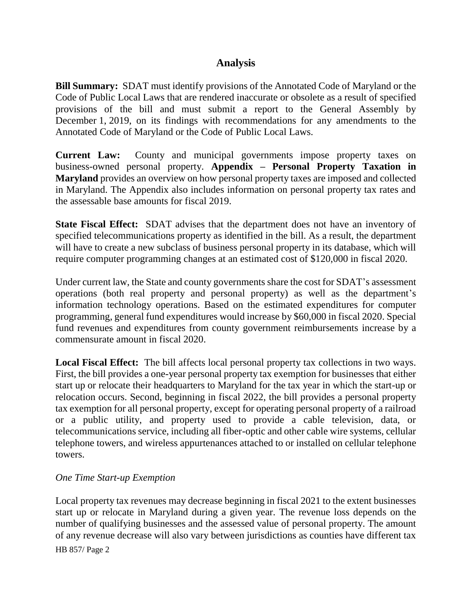## **Analysis**

**Bill Summary:** SDAT must identify provisions of the Annotated Code of Maryland or the Code of Public Local Laws that are rendered inaccurate or obsolete as a result of specified provisions of the bill and must submit a report to the General Assembly by December 1, 2019, on its findings with recommendations for any amendments to the Annotated Code of Maryland or the Code of Public Local Laws.

**Current Law:** County and municipal governments impose property taxes on business-owned personal property. **Appendix – Personal Property Taxation in Maryland** provides an overview on how personal property taxes are imposed and collected in Maryland. The Appendix also includes information on personal property tax rates and the assessable base amounts for fiscal 2019.

**State Fiscal Effect:** SDAT advises that the department does not have an inventory of specified telecommunications property as identified in the bill. As a result, the department will have to create a new subclass of business personal property in its database, which will require computer programming changes at an estimated cost of \$120,000 in fiscal 2020.

Under current law, the State and county governments share the cost for SDAT's assessment operations (both real property and personal property) as well as the department's information technology operations. Based on the estimated expenditures for computer programming, general fund expenditures would increase by \$60,000 in fiscal 2020. Special fund revenues and expenditures from county government reimbursements increase by a commensurate amount in fiscal 2020.

**Local Fiscal Effect:** The bill affects local personal property tax collections in two ways. First, the bill provides a one-year personal property tax exemption for businesses that either start up or relocate their headquarters to Maryland for the tax year in which the start-up or relocation occurs. Second, beginning in fiscal 2022, the bill provides a personal property tax exemption for all personal property, except for operating personal property of a railroad or a public utility, and property used to provide a cable television, data, or telecommunications service, including all fiber-optic and other cable wire systems, cellular telephone towers, and wireless appurtenances attached to or installed on cellular telephone towers.

## *One Time Start-up Exemption*

Local property tax revenues may decrease beginning in fiscal 2021 to the extent businesses start up or relocate in Maryland during a given year. The revenue loss depends on the number of qualifying businesses and the assessed value of personal property. The amount of any revenue decrease will also vary between jurisdictions as counties have different tax

HB 857/ Page 2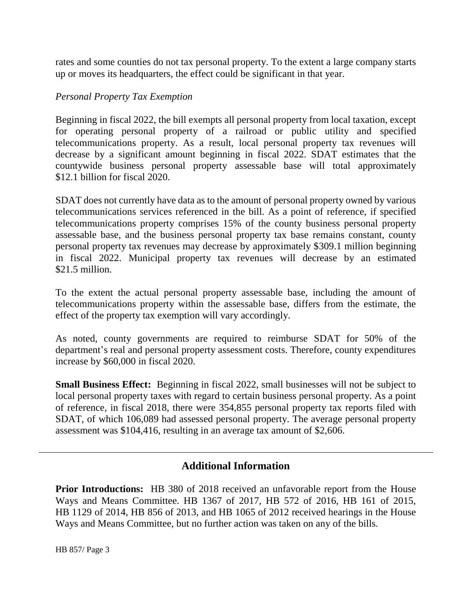rates and some counties do not tax personal property. To the extent a large company starts up or moves its headquarters, the effect could be significant in that year.

#### *Personal Property Tax Exemption*

Beginning in fiscal 2022, the bill exempts all personal property from local taxation, except for operating personal property of a railroad or public utility and specified telecommunications property. As a result, local personal property tax revenues will decrease by a significant amount beginning in fiscal 2022. SDAT estimates that the countywide business personal property assessable base will total approximately \$12.1 billion for fiscal 2020.

SDAT does not currently have data as to the amount of personal property owned by various telecommunications services referenced in the bill. As a point of reference, if specified telecommunications property comprises 15% of the county business personal property assessable base, and the business personal property tax base remains constant, county personal property tax revenues may decrease by approximately \$309.1 million beginning in fiscal 2022. Municipal property tax revenues will decrease by an estimated \$21.5 million.

To the extent the actual personal property assessable base, including the amount of telecommunications property within the assessable base, differs from the estimate, the effect of the property tax exemption will vary accordingly.

As noted, county governments are required to reimburse SDAT for 50% of the department's real and personal property assessment costs. Therefore, county expenditures increase by \$60,000 in fiscal 2020.

**Small Business Effect:** Beginning in fiscal 2022, small businesses will not be subject to local personal property taxes with regard to certain business personal property. As a point of reference, in fiscal 2018, there were 354,855 personal property tax reports filed with SDAT, of which 106,089 had assessed personal property. The average personal property assessment was \$104,416, resulting in an average tax amount of \$2,606.

## **Additional Information**

**Prior Introductions:** HB 380 of 2018 received an unfavorable report from the House Ways and Means Committee. HB 1367 of 2017, HB 572 of 2016, HB 161 of 2015, HB 1129 of 2014, HB 856 of 2013, and HB 1065 of 2012 received hearings in the House Ways and Means Committee, but no further action was taken on any of the bills.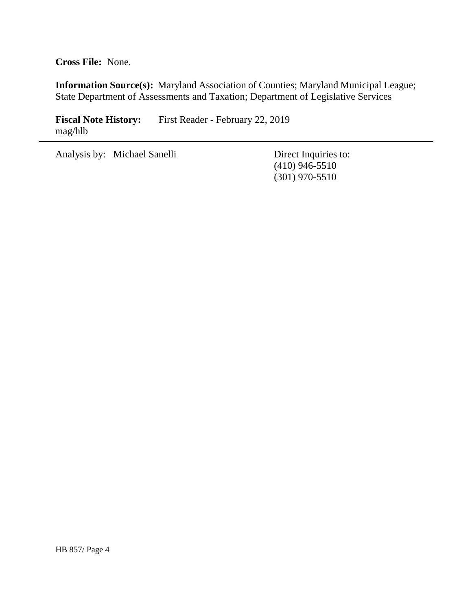**Cross File:** None.

**Information Source(s):** Maryland Association of Counties; Maryland Municipal League; State Department of Assessments and Taxation; Department of Legislative Services

Fiscal Note History: First Reader - February 22, 2019 mag/hlb

Analysis by: Michael Sanelli Direct Inquiries to:

(410) 946-5510 (301) 970-5510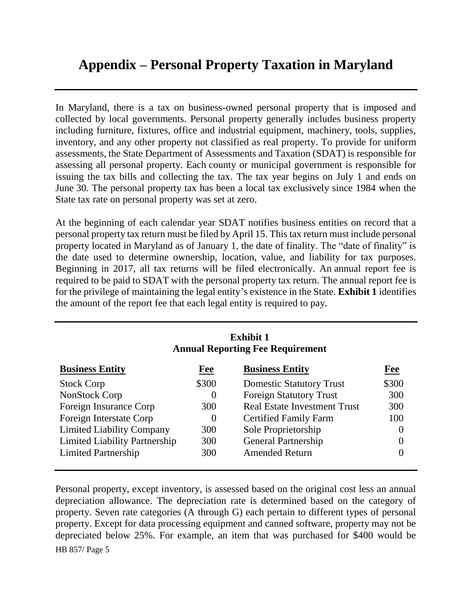# **Appendix – Personal Property Taxation in Maryland**

In Maryland, there is a tax on business-owned personal property that is imposed and collected by local governments. Personal property generally includes business property including furniture, fixtures, office and industrial equipment, machinery, tools, supplies, inventory, and any other property not classified as real property. To provide for uniform assessments, the State Department of Assessments and Taxation (SDAT) is responsible for assessing all personal property. Each county or municipal government is responsible for issuing the tax bills and collecting the tax. The tax year begins on July 1 and ends on June 30. The personal property tax has been a local tax exclusively since 1984 when the State tax rate on personal property was set at zero.

At the beginning of each calendar year SDAT notifies business entities on record that a personal property tax return must be filed by April 15. This tax return must include personal property located in Maryland as of January 1, the date of finality. The "date of finality" is the date used to determine ownership, location, value, and liability for tax purposes. Beginning in 2017, all tax returns will be filed electronically. An annual report fee is required to be paid to SDAT with the personal property tax return. The annual report fee is for the privilege of maintaining the legal entity's existence in the State. **Exhibit 1** identifies the amount of the report fee that each legal entity is required to pay.

| <b>Exhibit 1</b><br><b>Annual Reporting Fee Requirement</b> |          |                                     |                |  |
|-------------------------------------------------------------|----------|-------------------------------------|----------------|--|
| <b>Business Entity</b>                                      | Fee      | <b>Business Entity</b>              | Fee            |  |
| <b>Stock Corp</b>                                           | \$300    | <b>Domestic Statutory Trust</b>     | \$300          |  |
| NonStock Corp                                               | $\theta$ | <b>Foreign Statutory Trust</b>      | 300            |  |
| Foreign Insurance Corp                                      | 300      | <b>Real Estate Investment Trust</b> | 300            |  |
| Foreign Interstate Corp                                     | $\Omega$ | <b>Certified Family Farm</b>        | 100            |  |
| <b>Limited Liability Company</b>                            | 300      | Sole Proprietorship                 | $\overline{0}$ |  |
| <b>Limited Liability Partnership</b>                        | 300      | <b>General Partnership</b>          | $\theta$       |  |
| <b>Limited Partnership</b>                                  | 300      | <b>Amended Return</b>               |                |  |

HB 857/ Page 5 Personal property, except inventory, is assessed based on the original cost less an annual depreciation allowance. The depreciation rate is determined based on the category of property. Seven rate categories (A through G) each pertain to different types of personal property. Except for data processing equipment and canned software, property may not be depreciated below 25%. For example, an item that was purchased for \$400 would be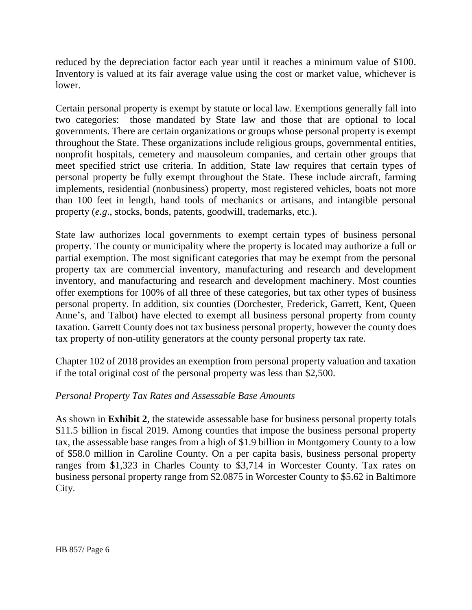reduced by the depreciation factor each year until it reaches a minimum value of \$100. Inventory is valued at its fair average value using the cost or market value, whichever is lower.

Certain personal property is exempt by statute or local law. Exemptions generally fall into two categories: those mandated by State law and those that are optional to local governments. There are certain organizations or groups whose personal property is exempt throughout the State. These organizations include religious groups, governmental entities, nonprofit hospitals, cemetery and mausoleum companies, and certain other groups that meet specified strict use criteria. In addition, State law requires that certain types of personal property be fully exempt throughout the State. These include aircraft, farming implements, residential (nonbusiness) property, most registered vehicles, boats not more than 100 feet in length, hand tools of mechanics or artisans, and intangible personal property (*e.g*., stocks, bonds, patents, goodwill, trademarks, etc.).

State law authorizes local governments to exempt certain types of business personal property. The county or municipality where the property is located may authorize a full or partial exemption. The most significant categories that may be exempt from the personal property tax are commercial inventory, manufacturing and research and development inventory, and manufacturing and research and development machinery. Most counties offer exemptions for 100% of all three of these categories, but tax other types of business personal property. In addition, six counties (Dorchester, Frederick, Garrett, Kent, Queen Anne's, and Talbot) have elected to exempt all business personal property from county taxation. Garrett County does not tax business personal property, however the county does tax property of non-utility generators at the county personal property tax rate.

Chapter 102 of 2018 provides an exemption from personal property valuation and taxation if the total original cost of the personal property was less than \$2,500.

## *Personal Property Tax Rates and Assessable Base Amounts*

As shown in **Exhibit 2**, the statewide assessable base for business personal property totals \$11.5 billion in fiscal 2019. Among counties that impose the business personal property tax, the assessable base ranges from a high of \$1.9 billion in Montgomery County to a low of \$58.0 million in Caroline County. On a per capita basis, business personal property ranges from \$1,323 in Charles County to \$3,714 in Worcester County. Tax rates on business personal property range from \$2.0875 in Worcester County to \$5.62 in Baltimore City.